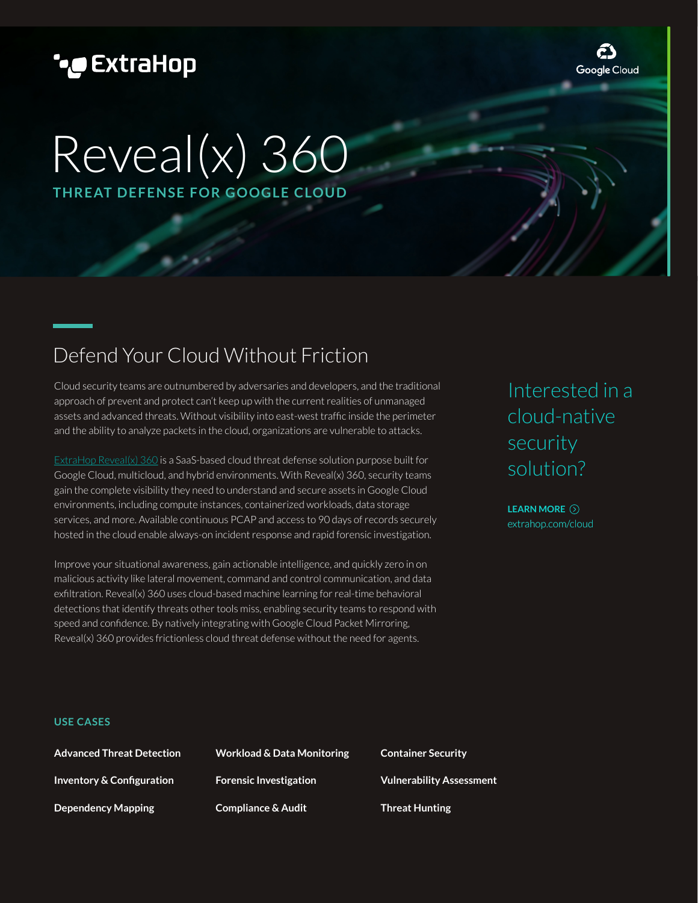# **\*@ExtraHop**

ć) Google Cloud

# Reveal(x) 360 **THREAT DEFENSE FOR GOOGLE CLOUD**

# Defend Your Cloud Without Friction

Cloud security teams are outnumbered by adversaries and developers, and the traditional approach of prevent and protect can't keep up with the current realities of unmanaged assets and advanced threats. Without visibility into east-west traffic inside the perimeter and the ability to analyze packets in the cloud, organizations are vulnerable to attacks.

[ExtraHop Reveal\(x\) 360 i](https://www.extrahop.com/products/cloud/)s a SaaS-based cloud threat defense solution purpose built for Google Cloud, multicloud, and hybrid environments. With Reveal(x) 360, security teams gain the complete visibility they need to understand and secure assets in Google Cloud environments, including compute instances, containerized workloads, data storage services, and more. Available continuous PCAP and access to 90 days of records securely hosted in the cloud enable always-on incident response and rapid forensic investigation.

Improve your situational awareness, gain actionable intelligence, and quickly zero in on malicious activity like lateral movement, command and control communication, and data exfiltration. Reveal(x) 360 uses cloud-based machine learning for real-time behavioral detections that identify threats other tools miss, enabling security teams to respond with speed and confidence. By natively integrating with Google Cloud Packet Mirroring, Reveal(x) 360 provides frictionless cloud threat defense without the need for agents.

Interested in a cloud-native security solution?

[extrahop.com/cloud](www.extrahop.com/cloud) **LEARN MORE**

#### **USE CASES**

| <b>Advanced Threat Detection</b>     |
|--------------------------------------|
| <b>Inventory &amp; Configuration</b> |
| <b>Dependency Mapping</b>            |

**Workload & Data Monitoring Forensic Investigation Compliance & Audit**

**Container Security Vulnerability Assessment Threat Hunting**